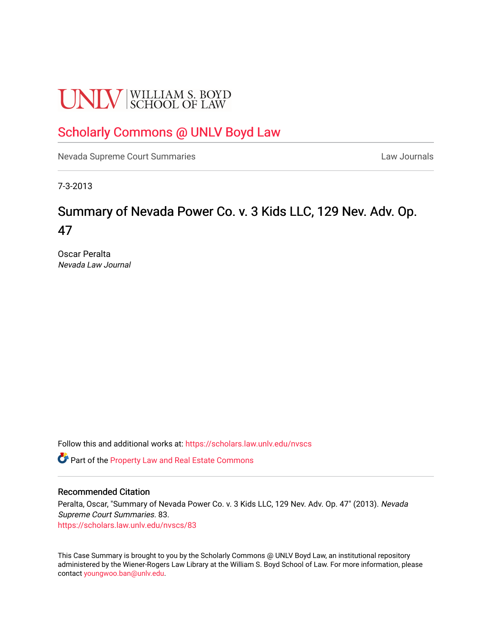# **UNLV** SCHOOL OF LAW

## [Scholarly Commons @ UNLV Boyd Law](https://scholars.law.unlv.edu/)

[Nevada Supreme Court Summaries](https://scholars.law.unlv.edu/nvscs) **Law Journals** Law Journals

7-3-2013

# Summary of Nevada Power Co. v. 3 Kids LLC, 129 Nev. Adv. Op. 47

Oscar Peralta Nevada Law Journal

Follow this and additional works at: [https://scholars.law.unlv.edu/nvscs](https://scholars.law.unlv.edu/nvscs?utm_source=scholars.law.unlv.edu%2Fnvscs%2F83&utm_medium=PDF&utm_campaign=PDFCoverPages)

**C** Part of the Property Law and Real Estate Commons

#### Recommended Citation

Peralta, Oscar, "Summary of Nevada Power Co. v. 3 Kids LLC, 129 Nev. Adv. Op. 47" (2013). Nevada Supreme Court Summaries. 83. [https://scholars.law.unlv.edu/nvscs/83](https://scholars.law.unlv.edu/nvscs/83?utm_source=scholars.law.unlv.edu%2Fnvscs%2F83&utm_medium=PDF&utm_campaign=PDFCoverPages) 

This Case Summary is brought to you by the Scholarly Commons @ UNLV Boyd Law, an institutional repository administered by the Wiener-Rogers Law Library at the William S. Boyd School of Law. For more information, please contact [youngwoo.ban@unlv.edu](mailto:youngwoo.ban@unlv.edu).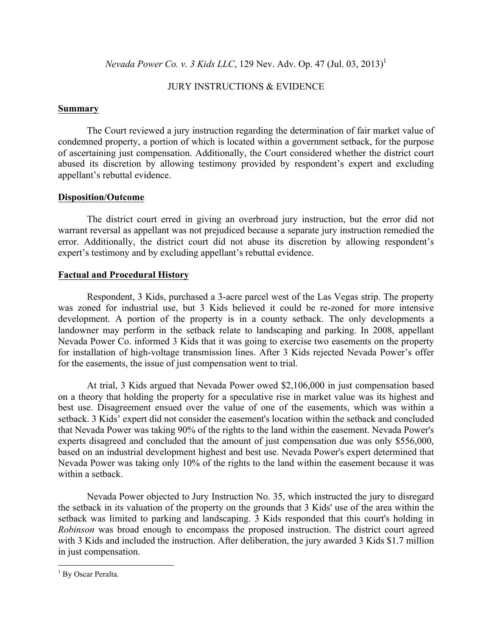*Nevada Power Co. v. 3 Kids LLC*, 129 Nev. Adv. Op. 47 (Jul. 03, 2013)<sup>1</sup>

## JURY INSTRUCTIONS & EVIDENCE

#### **Summary**

The Court reviewed a jury instruction regarding the determination of fair market value of condemned property, a portion of which is located within a government setback, for the purpose of ascertaining just compensation. Additionally, the Court considered whether the district court abused its discretion by allowing testimony provided by respondent's expert and excluding appellant's rebuttal evidence.

#### **Disposition/Outcome**

The district court erred in giving an overbroad jury instruction, but the error did not warrant reversal as appellant was not prejudiced because a separate jury instruction remedied the error. Additionally, the district court did not abuse its discretion by allowing respondent's expert's testimony and by excluding appellant's rebuttal evidence.

#### **Factual and Procedural History**

Respondent, 3 Kids, purchased a 3-acre parcel west of the Las Vegas strip. The property was zoned for industrial use, but 3 Kids believed it could be re-zoned for more intensive development. A portion of the property is in a county setback. The only developments a landowner may perform in the setback relate to landscaping and parking. In 2008, appellant Nevada Power Co. informed 3 Kids that it was going to exercise two easements on the property for installation of high-voltage transmission lines. After 3 Kids rejected Nevada Power's offer for the easements, the issue of just compensation went to trial.

At trial, 3 Kids argued that Nevada Power owed \$2,106,000 in just compensation based on a theory that holding the property for a speculative rise in market value was its highest and best use. Disagreement ensued over the value of one of the easements, which was within a setback. 3 Kids' expert did not consider the easement's location within the setback and concluded that Nevada Power was taking 90% of the rights to the land within the easement. Nevada Power's experts disagreed and concluded that the amount of just compensation due was only \$556,000, based on an industrial development highest and best use. Nevada Power's expert determined that Nevada Power was taking only 10% of the rights to the land within the easement because it was within a setback.

Nevada Power objected to Jury Instruction No. 35, which instructed the jury to disregard the setback in its valuation of the property on the grounds that 3 Kids' use of the area within the setback was limited to parking and landscaping. 3 Kids responded that this court's holding in *Robinson* was broad enough to encompass the proposed instruction. The district court agreed with 3 Kids and included the instruction. After deliberation, the jury awarded 3 Kids \$1.7 million in just compensation.

<sup>&</sup>lt;sup>1</sup> By Oscar Peralta.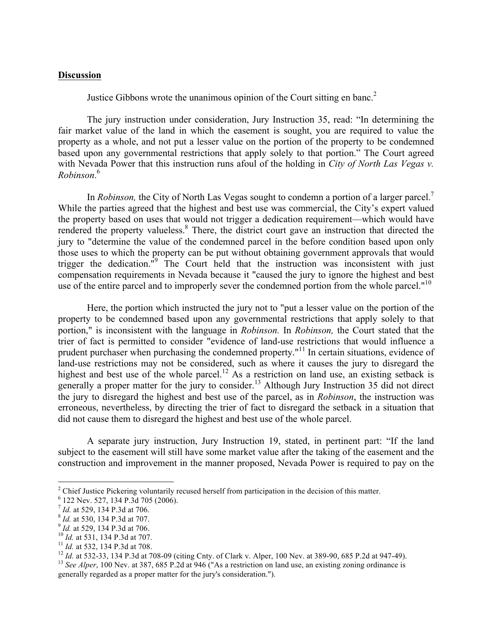### **Discussion**

Justice Gibbons wrote the unanimous opinion of the Court sitting en banc.<sup>2</sup>

The jury instruction under consideration, Jury Instruction 35, read: "In determining the fair market value of the land in which the easement is sought, you are required to value the property as a whole, and not put a lesser value on the portion of the property to be condemned based upon any governmental restrictions that apply solely to that portion." The Court agreed with Nevada Power that this instruction runs afoul of the holding in *City of North Las Vegas v. Robinson*. 6

In *Robinson*, the City of North Las Vegas sought to condemn a portion of a larger parcel.<sup>7</sup> While the parties agreed that the highest and best use was commercial, the City's expert valued the property based on uses that would not trigger a dedication requirement—which would have rendered the property valueless.<sup>8</sup> There, the district court gave an instruction that directed the jury to "determine the value of the condemned parcel in the before condition based upon only those uses to which the property can be put without obtaining government approvals that would trigger the dedication."<sup>9</sup> The Court held that the instruction was inconsistent with just compensation requirements in Nevada because it "caused the jury to ignore the highest and best use of the entire parcel and to improperly sever the condemned portion from the whole parcel."<sup>10</sup>

Here, the portion which instructed the jury not to "put a lesser value on the portion of the property to be condemned based upon any governmental restrictions that apply solely to that portion," is inconsistent with the language in *Robinson.* In *Robinson,* the Court stated that the trier of fact is permitted to consider "evidence of land-use restrictions that would influence a prudent purchaser when purchasing the condemned property."<sup>11</sup> In certain situations, evidence of land-use restrictions may not be considered, such as where it causes the jury to disregard the highest and best use of the whole parcel.<sup>12</sup> As a restriction on land use, an existing setback is generally a proper matter for the jury to consider.<sup>13</sup> Although Jury Instruction 35 did not direct the jury to disregard the highest and best use of the parcel, as in *Robinson*, the instruction was erroneous, nevertheless, by directing the trier of fact to disregard the setback in a situation that did not cause them to disregard the highest and best use of the whole parcel.

A separate jury instruction, Jury Instruction 19, stated, in pertinent part: "If the land subject to the easement will still have some market value after the taking of the easement and the construction and improvement in the manner proposed, Nevada Power is required to pay on the

<sup>&</sup>lt;sup>2</sup> Chief Justice Pickering voluntarily recused herself from participation in the decision of this matter.<br>
<sup>6</sup> 122 Nev. 527, 134 P.3d 705 (2006).<br>
<sup>7</sup> *Id.* at 529, 134 P.3d at 706.<br>
<sup>8</sup> *Id.* at 530, 134 P.3d at 707.<br>
<sup></sup>

generally regarded as a proper matter for the jury's consideration.").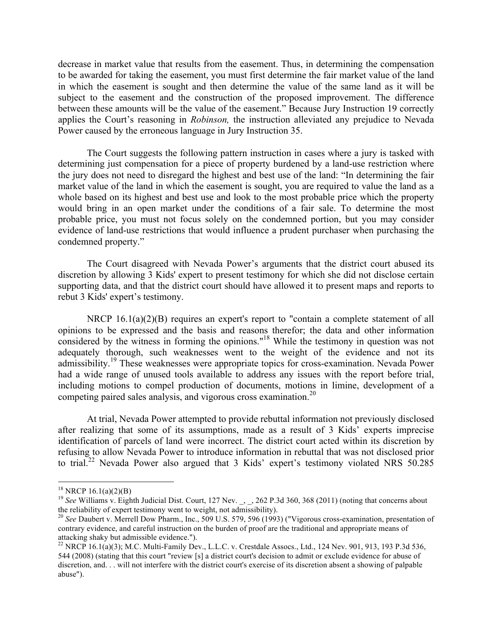decrease in market value that results from the easement. Thus, in determining the compensation to be awarded for taking the easement, you must first determine the fair market value of the land in which the easement is sought and then determine the value of the same land as it will be subject to the easement and the construction of the proposed improvement. The difference between these amounts will be the value of the easement." Because Jury Instruction 19 correctly applies the Court's reasoning in *Robinson,* the instruction alleviated any prejudice to Nevada Power caused by the erroneous language in Jury Instruction 35.

The Court suggests the following pattern instruction in cases where a jury is tasked with determining just compensation for a piece of property burdened by a land-use restriction where the jury does not need to disregard the highest and best use of the land: "In determining the fair market value of the land in which the easement is sought, you are required to value the land as a whole based on its highest and best use and look to the most probable price which the property would bring in an open market under the conditions of a fair sale. To determine the most probable price, you must not focus solely on the condemned portion, but you may consider evidence of land-use restrictions that would influence a prudent purchaser when purchasing the condemned property."

The Court disagreed with Nevada Power's arguments that the district court abused its discretion by allowing 3 Kids' expert to present testimony for which she did not disclose certain supporting data, and that the district court should have allowed it to present maps and reports to rebut 3 Kids' expert's testimony.

NRCP 16.1(a)(2)(B) requires an expert's report to "contain a complete statement of all opinions to be expressed and the basis and reasons therefor; the data and other information considered by the witness in forming the opinions."18 While the testimony in question was not adequately thorough, such weaknesses went to the weight of the evidence and not its admissibility.<sup>19</sup> These weaknesses were appropriate topics for cross-examination. Nevada Power had a wide range of unused tools available to address any issues with the report before trial, including motions to compel production of documents, motions in limine, development of a competing paired sales analysis, and vigorous cross examination.<sup>20</sup>

At trial, Nevada Power attempted to provide rebuttal information not previously disclosed after realizing that some of its assumptions, made as a result of 3 Kids' experts imprecise identification of parcels of land were incorrect. The district court acted within its discretion by refusing to allow Nevada Power to introduce information in rebuttal that was not disclosed prior to trial.<sup>22</sup> Nevada Power also argued that 3 Kids' expert's testimony violated NRS 50.285

<sup>&</sup>lt;sup>18</sup> NRCP 16.1(a)(2)(B)<br><sup>19</sup> *See* Williams v. Eighth Judicial Dist. Court, 127 Nev., 262 P.3d 360, 368 (2011) (noting that concerns about the reliability of expert testimony went to weight, not admissibility).

<sup>&</sup>lt;sup>20</sup> See Daubert v. Merrell Dow Pharm., Inc., 509 U.S. 579, 596 (1993) ("Vigorous cross-examination, presentation of contrary evidence, and careful instruction on the burden of proof are the traditional and appropriate means of attacking shaky but admissible evidence.").

<sup>&</sup>lt;sup>22</sup> NRCP 16.1(a)(3); M.C. Multi-Family Dev., L.L.C. v. Crestdale Assocs., Ltd., 124 Nev. 901, 913, 193 P.3d 536, 544 (2008) (stating that this court "review [s] a district court's decision to admit or exclude evidence for abuse of discretion, and. . . will not interfere with the district court's exercise of its discretion absent a showing of palpable abuse").